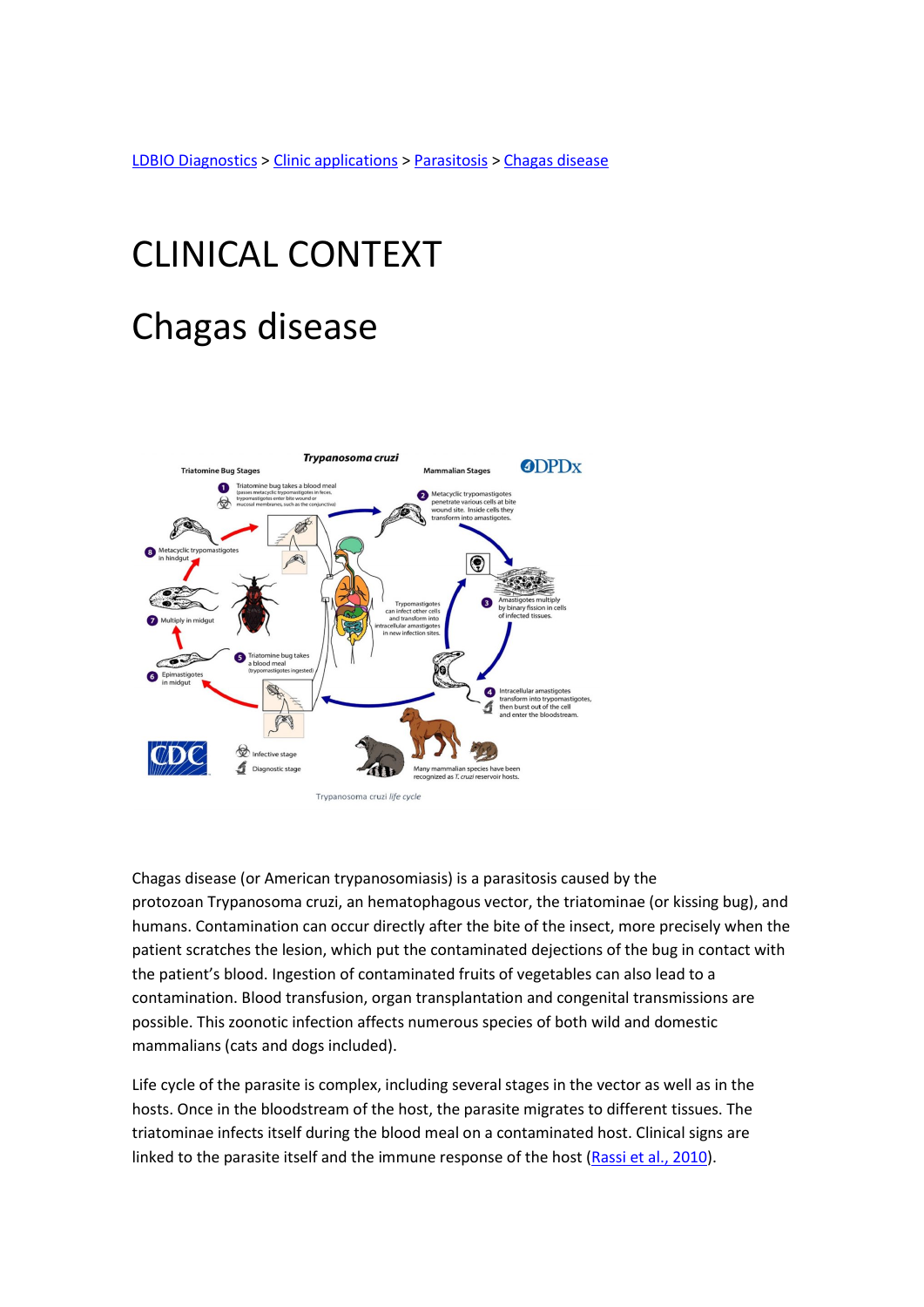LDBIO Diagnostics > Clinic applications > Parasitosis > Chagas disease

## CLINICAL CONTEXT Chagas disease



Chagas disease (or American trypanosomiasis) is a parasitosis caused by the protozoan Trypanosoma cruzi, an hematophagous vector, the triatominae (or kissing bug), and humans. Contamination can occur directly after the bite of the insect, more precisely when the patient scratches the lesion, which put the contaminated dejections of the bug in contact with the patient's blood. Ingestion of contaminated fruits of vegetables can also lead to a contamination. Blood transfusion, organ transplantation and congenital transmissions are possible. This zoonotic infection affects numerous species of both wild and domestic mammalians (cats and dogs included).

Life cycle of the parasite is complex, including several stages in the vector as well as in the hosts. Once in the bloodstream of the host, the parasite migrates to different tissues. The triatominae infects itself during the blood meal on a contaminated host. Clinical signs are linked to the parasite itself and the immune response of the host (Rassi et al., 2010).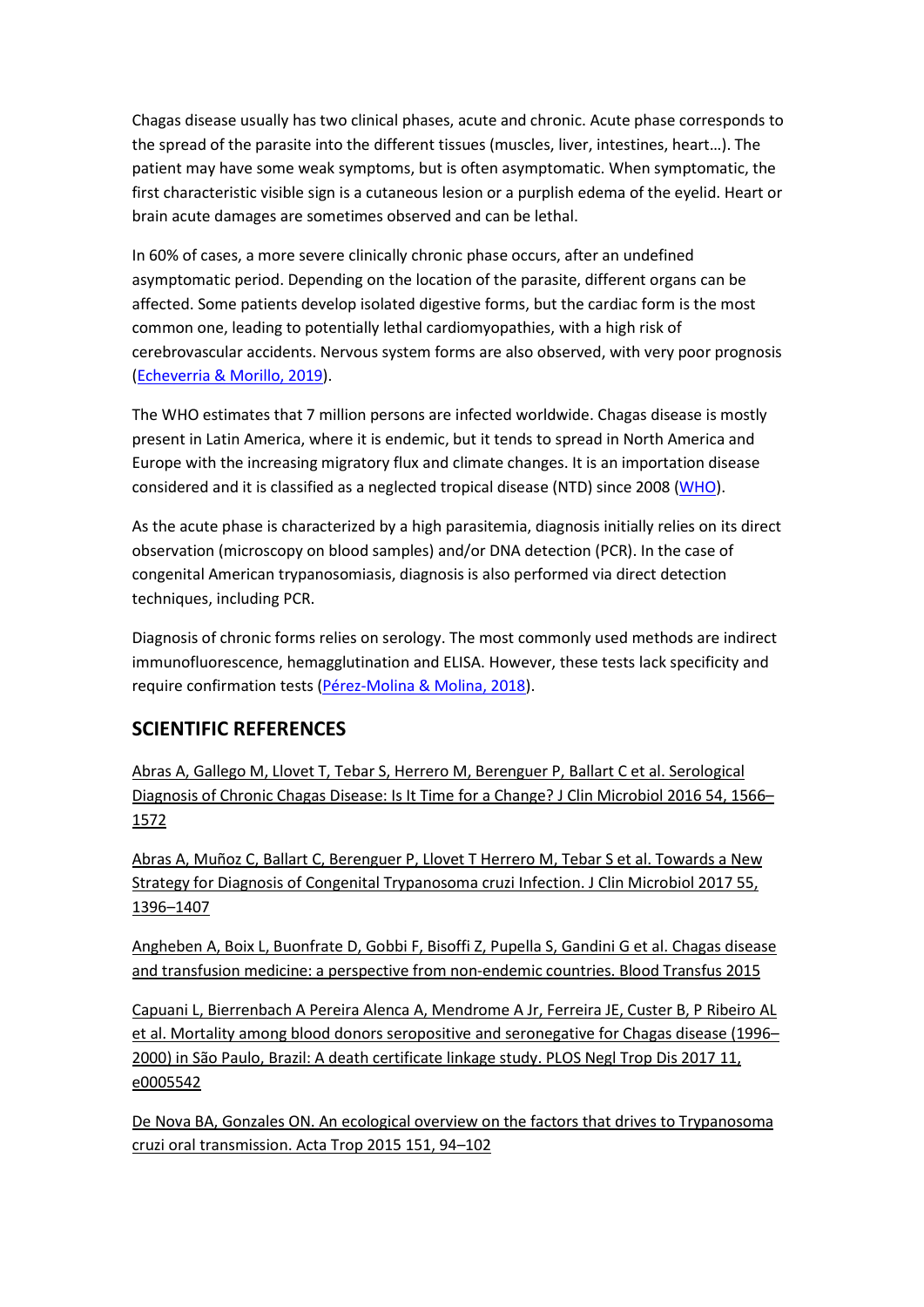Chagas disease usually has two clinical phases, acute and chronic. Acute phase corresponds to the spread of the parasite into the different tissues (muscles, liver, intestines, heart…). The patient may have some weak symptoms, but is often asymptomatic. When symptomatic, the first characteristic visible sign is a cutaneous lesion or a purplish edema of the eyelid. Heart or brain acute damages are sometimes observed and can be lethal.

In 60% of cases, a more severe clinically chronic phase occurs, after an undefined asymptomatic period. Depending on the location of the parasite, different organs can be affected. Some patients develop isolated digestive forms, but the cardiac form is the most common one, leading to potentially lethal cardiomyopathies, with a high risk of cerebrovascular accidents. Nervous system forms are also observed, with very poor prognosis (Echeverria & Morillo, 2019).

The WHO estimates that 7 million persons are infected worldwide. Chagas disease is mostly present in Latin America, where it is endemic, but it tends to spread in North America and Europe with the increasing migratory flux and climate changes. It is an importation disease considered and it is classified as a neglected tropical disease (NTD) since 2008 (WHO).

As the acute phase is characterized by a high parasitemia, diagnosis initially relies on its direct observation (microscopy on blood samples) and/or DNA detection (PCR). In the case of congenital American trypanosomiasis, diagnosis is also performed via direct detection techniques, including PCR.

Diagnosis of chronic forms relies on serology. The most commonly used methods are indirect immunofluorescence, hemagglutination and ELISA. However, these tests lack specificity and require confirmation tests (Pérez-Molina & Molina, 2018).

## SCIENTIFIC REFERENCES

Abras A, Gallego M, Llovet T, Tebar S, Herrero M, Berenguer P, Ballart C et al. Serological Diagnosis of Chronic Chagas Disease: Is It Time for a Change? J Clin Microbiol 2016 54, 1566– 1572

Abras A, Muñoz C, Ballart C, Berenguer P, Llovet T Herrero M, Tebar S et al. Towards a New Strategy for Diagnosis of Congenital Trypanosoma cruzi Infection. J Clin Microbiol 2017 55, 1396–1407

Angheben A, Boix L, Buonfrate D, Gobbi F, Bisoffi Z, Pupella S, Gandini G et al. Chagas disease and transfusion medicine: a perspective from non-endemic countries. Blood Transfus 2015

Capuani L, Bierrenbach A Pereira Alenca A, Mendrome A Jr, Ferreira JE, Custer B, P Ribeiro AL et al. Mortality among blood donors seropositive and seronegative for Chagas disease (1996– 2000) in São Paulo, Brazil: A death certificate linkage study. PLOS Negl Trop Dis 2017 11, e0005542

De Nova BA, Gonzales ON. An ecological overview on the factors that drives to Trypanosoma cruzi oral transmission. Acta Trop 2015 151, 94–102